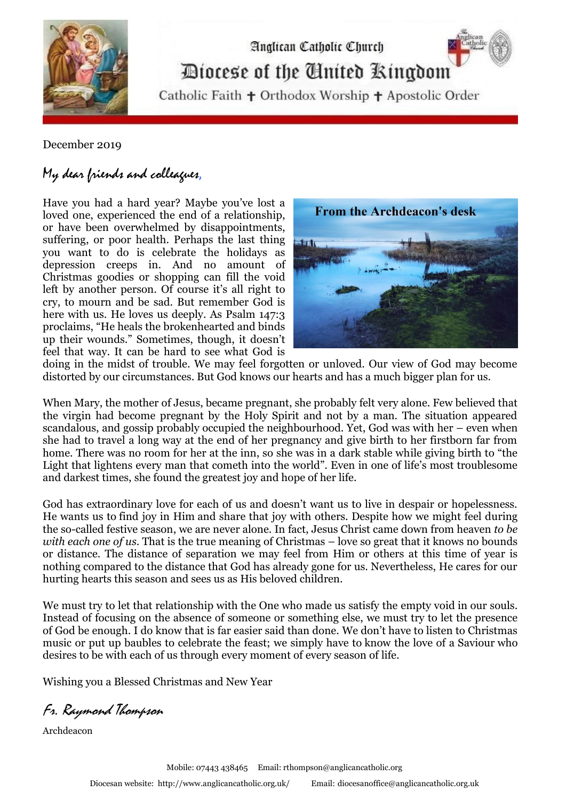

Diocese of the Cinited Ringdom

Analican Catholic Church

Catholic Faith + Orthodox Worship + Apostolic Order

December 2019

## My dear friends and colleagues,

Have you had a hard year? Maybe you've lost a loved one, experienced the end of a relationship, or have been overwhelmed by disappointments, suffering, or poor health. Perhaps the last thing you want to do is celebrate the holidays as depression creeps in. And no amount of Christmas goodies or shopping can fill the void left by another person. Of course it's all right to cry, to mourn and be sad. But remember God is here with us. He loves us deeply. As Psalm 147:3 proclaims, "He heals the brokenhearted and binds up their wounds." Sometimes, though, it doesn't feel that way. It can be hard to see what God is



doing in the midst of trouble. We may feel forgotten or unloved. Our view of God may become distorted by our circumstances. But God knows our hearts and has a much bigger plan for us.

When Mary, the mother of Jesus, became pregnant, she probably felt very alone. Few believed that the virgin had become pregnant by the Holy Spirit and not by a man. The situation appeared scandalous, and gossip probably occupied the neighbourhood. Yet, God was with her – even when she had to travel a long way at the end of her pregnancy and give birth to her firstborn far from home. There was no room for her at the inn, so she was in a dark stable while giving birth to "the Light that lightens every man that cometh into the world". Even in one of life's most troublesome and darkest times, she found the greatest joy and hope of her life.

God has extraordinary love for each of us and doesn't want us to live in despair or hopelessness. He wants us to [find joy in Him](http://peacewithgod.net/?utm_source=bgmainsite&utm_medium=pwg+Link&utm_campaign=pwg+Internal&utm_content=are+you+lonely+this+christmas+122017&outreach=lonely+christmas) and share that joy with others. Despite how we might feel during the so-called festive season, we are never alone. In fact, Jesus Christ came down from heaven *to be with each one of us*. That is the [true meaning of Christmas](https://peacewithgod.net/mobile/whats-the-meaning-of-christmas-mobile/) – love so great that it knows no bounds or distance. The distance of separation we may feel from Him or others at this time of year is nothing compared to the distance that God has already gone for us. Nevertheless, He cares for our hurting hearts this season and sees us as His beloved children.

We must try to let that relationship with the One who made us satisfy the empty void in our souls. Instead of focusing on the absence of someone or something else, we must try to let the presence of God be enough. I do know that is far easier said than done. We don't have to listen to Christmas music or put up baubles to celebrate the feast; we simply have to [know the love of a Saviour](http://peacewithgod.net/?utm_source=bgmainsite&utm_medium=pwg+Link&utm_campaign=pwg+Internal&utm_content=are+you+lonely+this+christmas+122017&outreach=lonely+christmas) who desires to be with each of us through every moment of every season of life.

Wishing you a Blessed Christmas and New Year

Fr. Raymond Thompson

Archdeacon